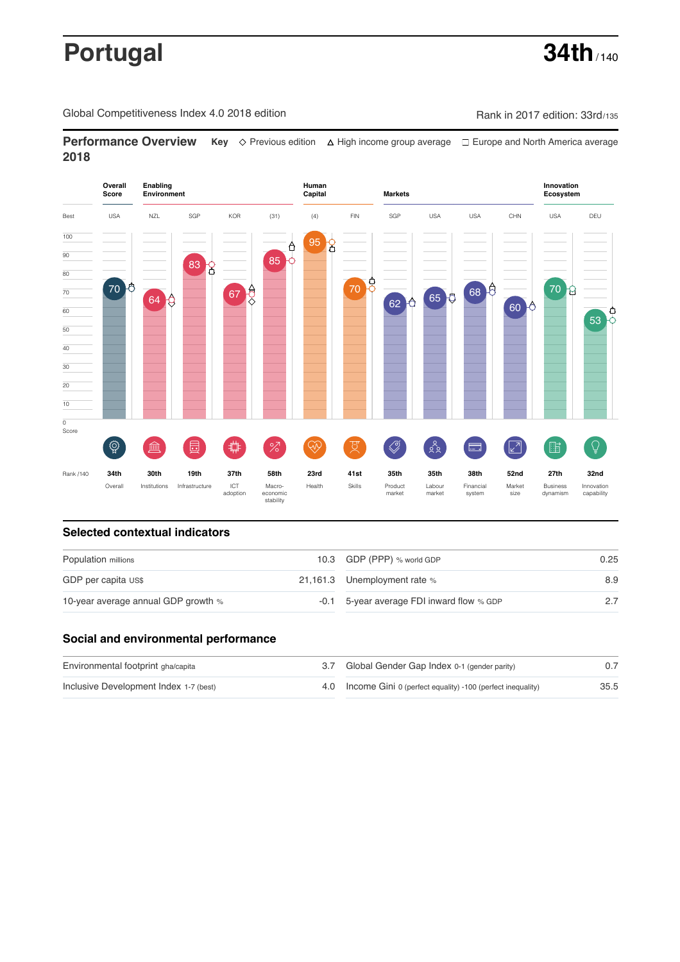# **Portugal 34th** / 140

Global Competitiveness Index 4.0 2018 edition Company Rank in 2017 edition: 33rd/135

**Performance Overview** Key  $\Diamond$  Previous edition ∆ High income group average  $\Box$  Europe and North America average **2018**



## **Selected contextual indicators**

| Population millions                 |  | 10.3 GDP (PPP) % world GDP                | 0.25 |
|-------------------------------------|--|-------------------------------------------|------|
| GDP per capita US\$                 |  | 21,161.3 Unemployment rate %              | 8.9  |
| 10-year average annual GDP growth % |  | -0.1 5-year average FDI inward flow % GDP |      |

### **Social and environmental performance**

| Environmental footprint gha/capita     | 3.7 Global Gender Gap Index 0-1 (gender parity)                |      |
|----------------------------------------|----------------------------------------------------------------|------|
| Inclusive Development Index 1-7 (best) | 4.0 Income Gini 0 (perfect equality) -100 (perfect inequality) | 35.5 |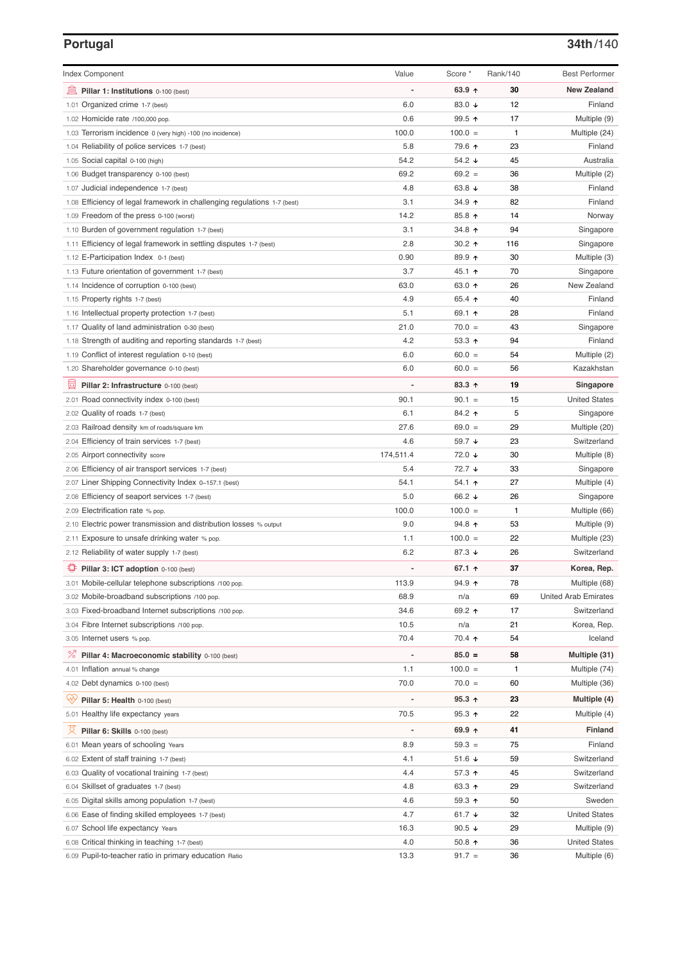### **Portugal 34th**/140

| <b>Index Component</b>                                                   | Value                        | Score *         | Rank/140 | <b>Best Performer</b>       |
|--------------------------------------------------------------------------|------------------------------|-----------------|----------|-----------------------------|
| 寙<br>Pillar 1: Institutions 0-100 (best)                                 |                              | 63.9 $\uparrow$ | 30       | <b>New Zealand</b>          |
| Organized crime 1-7 (best)<br>1.01                                       | 6.0                          | 83.0 ↓          | 12       | Finland                     |
| 1.02 Homicide rate /100,000 pop.                                         | 0.6                          | 99.5 ↑          | 17       | Multiple (9)                |
| 1.03 Terrorism incidence 0 (very high) -100 (no incidence)               | 100.0                        | $100.0 =$       | 1        | Multiple (24)               |
| 1.04 Reliability of police services 1-7 (best)                           | 5.8                          | 79.6 ↑          | 23       | Finland                     |
| 1.05 Social capital 0-100 (high)                                         | 54.2                         | 54.2 ↓          | 45       | Australia                   |
| 1.06 Budget transparency 0-100 (best)                                    | 69.2                         | $69.2 =$        | 36       | Multiple (2)                |
| 1.07 Judicial independence 1-7 (best)                                    | 4.8                          | 63.8 $\sqrt{ }$ | 38       | Finland                     |
| 1.08 Efficiency of legal framework in challenging regulations 1-7 (best) | 3.1                          | 34.9 ↑          | 82       | Finland                     |
| 1.09 Freedom of the press 0-100 (worst)                                  | 14.2                         | 85.8 ↑          | 14       | Norway                      |
| 1.10 Burden of government regulation 1-7 (best)                          | 3.1                          | 34.8 个          | 94       | Singapore                   |
| 1.11 Efficiency of legal framework in settling disputes 1-7 (best)       | 2.8                          | 30.2 $\uparrow$ | 116      | Singapore                   |
| 1.12 E-Participation Index 0-1 (best)                                    | 0.90                         | 89.9 个          | 30       | Multiple (3)                |
| 1.13 Future orientation of government 1-7 (best)                         | 3.7                          | 45.1 ↑          | 70       | Singapore                   |
| 1.14 Incidence of corruption 0-100 (best)                                | 63.0                         | 63.0 ↑          | 26       | New Zealand                 |
| 1.15 Property rights 1-7 (best)                                          | 4.9                          | 65.4 ↑          | 40       | Finland                     |
| 1.16 Intellectual property protection 1-7 (best)                         | 5.1                          | 69.1 ↑          | 28       | Finland                     |
| 1.17 Quality of land administration 0-30 (best)                          | 21.0                         | $70.0 =$        | 43       | Singapore                   |
| 1.18 Strength of auditing and reporting standards 1-7 (best)             | 4.2                          | 53.3 $\uparrow$ | 94       | Finland                     |
| 1.19 Conflict of interest regulation 0-10 (best)                         | 6.0                          | $60.0 =$        | 54       | Multiple (2)                |
| 1.20 Shareholder governance 0-10 (best)                                  | 6.0                          | $60.0 =$        | 56       | Kazakhstan                  |
| 員<br>Pillar 2: Infrastructure 0-100 (best)                               |                              | 83.3 ↑          | 19       | Singapore                   |
| 2.01 Road connectivity index 0-100 (best)                                | 90.1                         | $90.1 =$        | 15       | <b>United States</b>        |
| 2.02 Quality of roads 1-7 (best)                                         | 6.1                          | 84.2 ↑          | 5        | Singapore                   |
| 2.03 Railroad density km of roads/square km                              | 27.6                         | $69.0 =$        | 29       | Multiple (20)               |
| 2.04 Efficiency of train services 1-7 (best)                             | 4.6                          | 59.7 ↓          | 23       | Switzerland                 |
| 2.05 Airport connectivity score                                          | 174,511.4                    | 72.0 ↓          | 30       | Multiple (8)                |
| 2.06 Efficiency of air transport services 1-7 (best)                     | 5.4                          | 72.7 ↓          | 33       | Singapore                   |
| 2.07 Liner Shipping Connectivity Index 0-157.1 (best)                    | 54.1                         | $54.1$ 1        | 27       | Multiple (4)                |
| 2.08 Efficiency of seaport services 1-7 (best)                           | 5.0                          | 66.2 ↓          | 26       | Singapore                   |
| 2.09 Electrification rate % pop.                                         | 100.0                        | $100.0 =$       | 1        | Multiple (66)               |
| 2.10 Electric power transmission and distribution losses % output        | 9.0                          | 94.8 ↑          | 53       | Multiple (9)                |
| 2.11 Exposure to unsafe drinking water % pop.                            | 1.1                          | $100.0 =$       | 22       | Multiple (23)               |
| 2.12 Reliability of water supply 1-7 (best)                              | 6.2                          | 87.3 ↓          | 26       | Switzerland                 |
| O<br>Pillar 3: ICT adoption 0-100 (best)                                 |                              | 67.1 $\uparrow$ | 37       | Korea, Rep.                 |
| 3.01 Mobile-cellular telephone subscriptions /100 pop.                   | 113.9                        | $94.9$ ↑        | 78       | Multiple (68)               |
| 3.02 Mobile-broadband subscriptions /100 pop.                            | 68.9                         | n/a             | 69       | <b>United Arab Emirates</b> |
| 3.03 Fixed-broadband Internet subscriptions /100 pop.                    | 34.6                         | 69.2 ↑          | 17       | Switzerland                 |
| 3.04 Fibre Internet subscriptions /100 pop.                              | 10.5                         | n/a             | 21       | Korea, Rep.                 |
| 3.05 Internet users % pop.                                               | 70.4                         | 70.4 ተ          | 54       | Iceland                     |
| $\%$<br>Pillar 4: Macroeconomic stability 0-100 (best)                   | $\qquad \qquad \blacksquare$ | $85.0 =$        | 58       | Multiple (31)               |
| 4.01 Inflation annual % change                                           | 1.1                          | $100.0 =$       | 1        | Multiple (74)               |
| 4.02 Debt dynamics 0-100 (best)                                          | 70.0                         | $70.0 =$        | 60       | Multiple (36)               |
| Qv<br>Pillar 5: Health 0-100 (best)                                      |                              | $95.3 +$        | 23       | Multiple (4)                |
| 5.01 Healthy life expectancy years                                       | 70.5                         | $95.3$ ↑        | 22       | Multiple (4)                |
| 섯<br>Pillar 6: Skills 0-100 (best)                                       | $\overline{a}$               | 69.9 ↑          | 41       | Finland                     |
| 6.01 Mean years of schooling Years                                       | 8.9                          | $59.3 =$        | 75       | Finland                     |
| 6.02 Extent of staff training 1-7 (best)                                 | 4.1                          | 51.6 $\sqrt{ }$ | 59       | Switzerland                 |
| 6.03 Quality of vocational training 1-7 (best)                           | 4.4                          | 57.3 ↑          | 45       | Switzerland                 |
| 6.04 Skillset of graduates 1-7 (best)                                    | 4.8                          | 63.3 个          | 29       | Switzerland                 |
| 6.05 Digital skills among population 1-7 (best)                          | 4.6                          | $59.3$ 1        | 50       | Sweden                      |
| 6.06 Ease of finding skilled employees 1-7 (best)                        | 4.7                          | 61.7 $\sqrt{ }$ | 32       | <b>United States</b>        |
| 6.07 School life expectancy Years                                        | 16.3                         | 90.5 $\sqrt{ }$ | 29       | Multiple (9)                |
| 6.08 Critical thinking in teaching 1-7 (best)                            | 4.0                          | 50.8 ↑          | 36       | <b>United States</b>        |
| 6.09 Pupil-to-teacher ratio in primary education Ratio                   | 13.3                         | $91.7 =$        | 36       | Multiple (6)                |